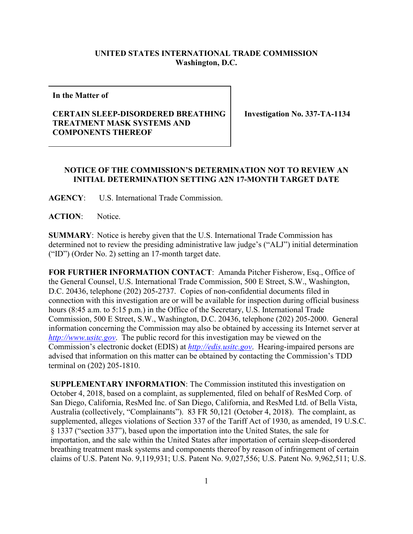## **UNITED STATES INTERNATIONAL TRADE COMMISSION Washington, D.C.**

**In the Matter of**

## **CERTAIN SLEEP-DISORDERED BREATHING TREATMENT MASK SYSTEMS AND COMPONENTS THEREOF**

**Investigation No. 337-TA-1134**

## **NOTICE OF THE COMMISSION'S DETERMINATION NOT TO REVIEW AN INITIAL DETERMINATION SETTING A2N 17-MONTH TARGET DATE**

**AGENCY**: U.S. International Trade Commission.

**ACTION**: Notice.

**SUMMARY**: Notice is hereby given that the U.S. International Trade Commission has determined not to review the presiding administrative law judge's ("ALJ") initial determination ("ID") (Order No. 2) setting an 17-month target date.

**FOR FURTHER INFORMATION CONTACT**: Amanda Pitcher Fisherow, Esq., Office of the General Counsel, U.S. International Trade Commission, 500 E Street, S.W., Washington, D.C. 20436, telephone (202) 205-2737. Copies of non-confidential documents filed in connection with this investigation are or will be available for inspection during official business hours (8:45 a.m. to 5:15 p.m.) in the Office of the Secretary, U.S. International Trade Commission, 500 E Street, S.W., Washington, D.C. 20436, telephone (202) 205-2000. General information concerning the Commission may also be obtained by accessing its Internet server at *[http://www.usitc.gov](http://www.usitc.gov/)*. The public record for this investigation may be viewed on the Commission's electronic docket (EDIS) at *[http://edis.usitc.gov](http://edis.usitc.gov/)*. Hearing-impaired persons are advised that information on this matter can be obtained by contacting the Commission's TDD terminal on (202) 205-1810.

**SUPPLEMENTARY INFORMATION**: The Commission instituted this investigation on October 4, 2018, based on a complaint, as supplemented, filed on behalf of ResMed Corp. of San Diego, California, ResMed Inc. of San Diego, California, and ResMed Ltd. of Bella Vista, Australia (collectively, "Complainants"). 83 FR 50,121 (October 4, 2018). The complaint, as supplemented, alleges violations of Section 337 of the Tariff Act of 1930, as amended, 19 U.S.C. § 1337 ("section 337"), based upon the importation into the United States, the sale for importation, and the sale within the United States after importation of certain sleep-disordered breathing treatment mask systems and components thereof by reason of infringement of certain claims of U.S. Patent No. 9,119,931; U.S. Patent No. 9,027,556; U.S. Patent No. 9,962,511; U.S.